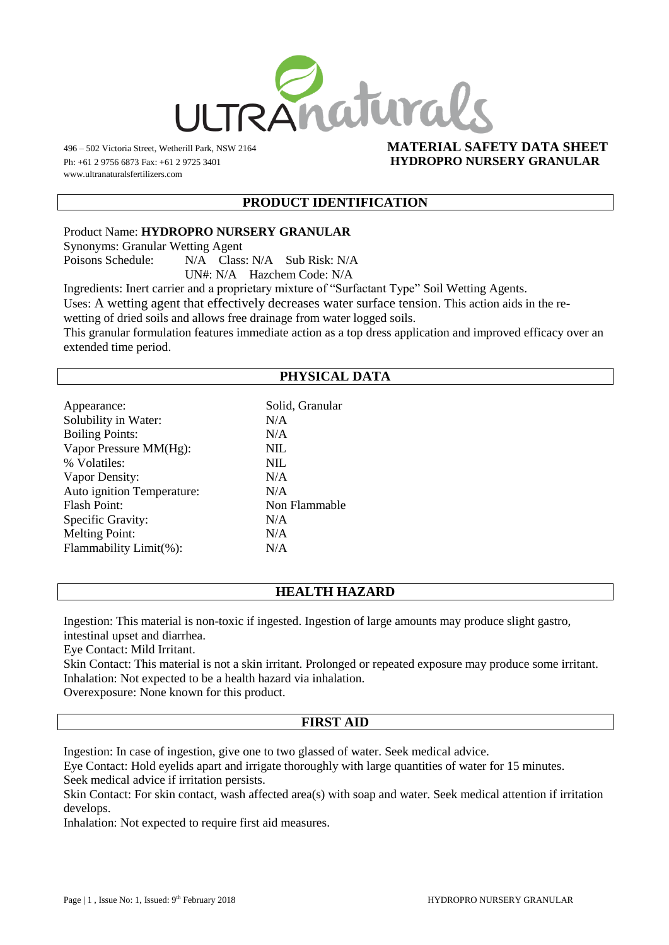

www.ultranaturalsfertilizers.com

#### 496 – 502 Victoria Street, Wetherill Park, NSW 2164 **MATERIAL SAFETY DATA SHEET** Ph: +61 2 9756 6873 Fax: +61 2 9725 3401 **HYDROPRO NURSERY GRANULAR**

#### **PRODUCT IDENTIFICATION**

Product Name: **HYDROPRO NURSERY GRANULAR**

Synonyms: Granular Wetting Agent

Poisons Schedule: N/A Class: N/A Sub Risk: N/A

UN#: N/A Hazchem Code: N/A

Ingredients: Inert carrier and a proprietary mixture of "Surfactant Type" Soil Wetting Agents.

Uses: A wetting agent that effectively decreases water surface tension. This action aids in the re-

wetting of dried soils and allows free drainage from water logged soils.

This granular formulation features immediate action as a top dress application and improved efficacy over an extended time period.

## **PHYSICAL DATA**

| Appearance:                | Solid, Granular |
|----------------------------|-----------------|
| Solubility in Water:       | N/A             |
| <b>Boiling Points:</b>     | N/A             |
| Vapor Pressure MM(Hg):     | <b>NIL</b>      |
| % Volatiles:               | NIL.            |
| Vapor Density:             | N/A             |
| Auto ignition Temperature: | N/A             |
| Flash Point:               | Non Flammable   |
| Specific Gravity:          | N/A             |
| <b>Melting Point:</b>      | N/A             |
| Flammability Limit(%):     | N/A             |
|                            |                 |

# **HEALTH HAZARD**

Ingestion: This material is non-toxic if ingested. Ingestion of large amounts may produce slight gastro, intestinal upset and diarrhea.

Eye Contact: Mild Irritant.

Skin Contact: This material is not a skin irritant. Prolonged or repeated exposure may produce some irritant. Inhalation: Not expected to be a health hazard via inhalation.

Overexposure: None known for this product.

### **FIRST AID**

Ingestion: In case of ingestion, give one to two glassed of water. Seek medical advice.

Eye Contact: Hold eyelids apart and irrigate thoroughly with large quantities of water for 15 minutes. Seek medical advice if irritation persists.

Skin Contact: For skin contact, wash affected area(s) with soap and water. Seek medical attention if irritation develops.

Inhalation: Not expected to require first aid measures.